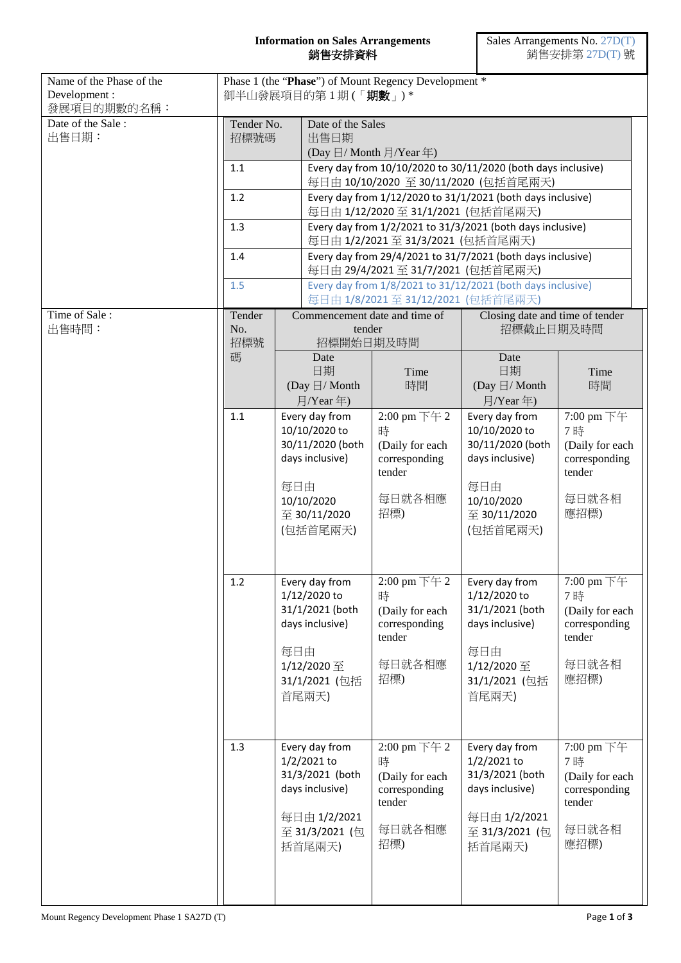## **Information on Sales Arrangements** 銷售安排資料

| Name of the Phase of the<br>Development:<br>發展項目的期數的名稱: | Phase 1 (the "Phase") of Mount Regency Development *<br>御半山發展項目的第1期(「期數」)* |                                                                                                                      |                                                                                                                  |                                                                                  |                                                                                                                             |                                                                                 |  |
|---------------------------------------------------------|----------------------------------------------------------------------------|----------------------------------------------------------------------------------------------------------------------|------------------------------------------------------------------------------------------------------------------|----------------------------------------------------------------------------------|-----------------------------------------------------------------------------------------------------------------------------|---------------------------------------------------------------------------------|--|
| Date of the Sale:<br>出售日期:                              | Tender No.<br>招標號碼<br>1.1<br>1.2<br>1.3<br>1.4<br>1.5                      |                                                                                                                      | Date of the Sales<br>出售日期<br>(Day $\boxdot$ / Month $\exists$ /Year 年)                                           |                                                                                  |                                                                                                                             |                                                                                 |  |
|                                                         |                                                                            |                                                                                                                      | Every day from 10/10/2020 to 30/11/2020 (both days inclusive)                                                    |                                                                                  |                                                                                                                             |                                                                                 |  |
|                                                         |                                                                            |                                                                                                                      | 每日由 10/10/2020 至 30/11/2020 (包括首尾兩天)<br>Every day from 1/12/2020 to 31/1/2021 (both days inclusive)              |                                                                                  |                                                                                                                             |                                                                                 |  |
|                                                         |                                                                            |                                                                                                                      | 每日由 1/12/2020至 31/1/2021 (包括首尾兩天)<br>Every day from 1/2/2021 to 31/3/2021 (both days inclusive)                  |                                                                                  |                                                                                                                             |                                                                                 |  |
|                                                         |                                                                            |                                                                                                                      | 每日由 1/2/2021 至 31/3/2021 (包括首尾兩天)                                                                                |                                                                                  |                                                                                                                             |                                                                                 |  |
|                                                         |                                                                            |                                                                                                                      | Every day from 29/4/2021 to 31/7/2021 (both days inclusive)<br>每日由 29/4/2021至 31/7/2021 (包括首尾兩天)                 |                                                                                  |                                                                                                                             |                                                                                 |  |
|                                                         |                                                                            |                                                                                                                      | Every day from 1/8/2021 to 31/12/2021 (both days inclusive)<br>每日由 1/8/2021至 31/12/2021 (包括首尾兩天)                 |                                                                                  |                                                                                                                             |                                                                                 |  |
| Time of Sale:<br>出售時間:                                  | Tender<br>No.<br>招標號<br>碼                                                  |                                                                                                                      | Commencement date and time of<br>tender<br>招標開始日期及時間                                                             |                                                                                  | Closing date and time of tender<br>招標截止日期及時間                                                                                |                                                                                 |  |
|                                                         |                                                                            |                                                                                                                      | Date<br>日期<br>(Day $\boxdot$ / Month<br>月/Year年)                                                                 | Time<br>時間                                                                       | Date<br>日期<br>(Day $\boxdot$ / Month<br>月/Year 年)                                                                           | Time<br>時間                                                                      |  |
|                                                         | 1.1<br>每日由                                                                 |                                                                                                                      | Every day from<br>10/10/2020 to<br>30/11/2020 (both<br>days inclusive)<br>10/10/2020<br>至 30/11/2020<br>(包括首尾兩天) | 2:00 pm 下午 2<br>時<br>(Daily for each<br>corresponding<br>tender<br>每日就各相應<br>招標) | Every day from<br>10/10/2020 to<br>30/11/2020 (both<br>days inclusive)<br>每日由<br>10/10/2020<br>$\Xi$ 30/11/2020<br>(包括首尾兩天) | 7:00 pm 下午<br>7時<br>(Daily for each<br>corresponding<br>tender<br>每日就各相<br>應招標) |  |
|                                                         | 1.2                                                                        | Every day from<br>1/12/2020 to<br>31/1/2021 (both<br>days inclusive)<br>每日由<br>1/12/2020 至<br>31/1/2021 (包括<br>首尾兩天) |                                                                                                                  | 2:00 pm 下午 2<br>時<br>(Daily for each<br>corresponding<br>tender<br>每日就各相應<br>招標) | Every day from<br>1/12/2020 to<br>31/1/2021 (both<br>days inclusive)<br>每日由<br>1/12/2020 至<br>31/1/2021 (包括<br>首尾兩天)        | 7:00 pm 下午<br>7時<br>(Daily for each<br>corresponding<br>tender<br>每日就各相<br>應招標) |  |
|                                                         | 1.3                                                                        |                                                                                                                      | Every day from<br>1/2/2021 to<br>31/3/2021 (both<br>days inclusive)<br>每日由 1/2/2021<br>至 31/3/2021 (包<br>括首尾兩天)  | 2:00 pm 下午 2<br>時<br>(Daily for each<br>corresponding<br>tender<br>每日就各相應<br>招標) | Every day from<br>1/2/2021 to<br>31/3/2021 (both<br>days inclusive)<br>每日由 1/2/2021<br>至 31/3/2021 (包<br>括首尾兩天)             | 7:00 pm 下午<br>7時<br>(Daily for each<br>corresponding<br>tender<br>每日就各相<br>應招標) |  |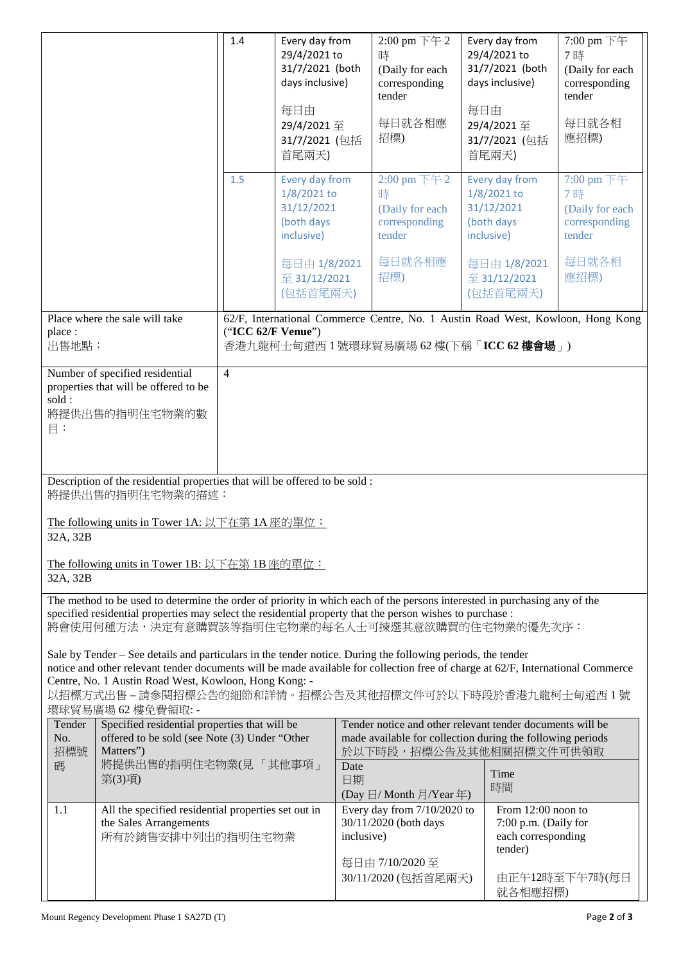|                                                                                                                                                                                                                                                                                                                                                                                      | 1.4            | Every day from<br>29/4/2021 to<br>31/7/2021 (both<br>days inclusive)<br>每日由<br>29/4/2021至<br>31/7/2021 (包括<br>首尾兩天)                                        | $2:00$ pm 下午 2<br>時<br>(Daily for each<br>corresponding<br>tender<br>每日就各相應<br>招標) | Every day from<br>29/4/2021 to<br>31/7/2021 (both<br>days inclusive)<br>每日由<br>29/4/2021至<br>31/7/2021 (包括<br>首尾兩天) | $7:00 \text{ pm } \pm 4$<br>7時<br>(Daily for each<br>corresponding<br>tender<br>每日就各相<br>應招標) |
|--------------------------------------------------------------------------------------------------------------------------------------------------------------------------------------------------------------------------------------------------------------------------------------------------------------------------------------------------------------------------------------|----------------|------------------------------------------------------------------------------------------------------------------------------------------------------------|------------------------------------------------------------------------------------|---------------------------------------------------------------------------------------------------------------------|-----------------------------------------------------------------------------------------------|
|                                                                                                                                                                                                                                                                                                                                                                                      | 1.5            | Every day from<br>1/8/2021 to<br>31/12/2021<br>(both days<br>inclusive)                                                                                    | 2:00 pm 下午 2<br>時<br>(Daily for each<br>corresponding<br>tender                    | Every day from<br>$1/8/2021$ to<br>31/12/2021<br>(both days<br>inclusive)                                           | 7:00 pm 下午<br>7時<br>(Daily for each<br>corresponding<br>tender                                |
|                                                                                                                                                                                                                                                                                                                                                                                      |                | 每日由 1/8/2021<br>至 31/12/2021<br>(包括首尾兩天)                                                                                                                   | 每日就各相應<br>招標)                                                                      | 每日由 1/8/2021<br>至 31/12/2021<br>(包括首尾兩天)                                                                            | 每日就各相<br>應招標)                                                                                 |
| Place where the sale will take<br>62/F, International Commerce Centre, No. 1 Austin Road West, Kowloon, Hong Kong<br>("ICC 62/F Venue")<br>place:<br>出售地點:<br>香港九龍柯士甸道西 1 號環球貿易廣場 62 樓(下稱「ICC 62 樓會場」)                                                                                                                                                                               |                |                                                                                                                                                            |                                                                                    |                                                                                                                     |                                                                                               |
| Number of specified residential<br>properties that will be offered to be<br>sold:<br>將提供出售的指明住宅物業的數<br>目:                                                                                                                                                                                                                                                                            | $\overline{4}$ |                                                                                                                                                            |                                                                                    |                                                                                                                     |                                                                                               |
| Description of the residential properties that will be offered to be sold:<br>將提供出售的指明住宅物業的描述:                                                                                                                                                                                                                                                                                       |                |                                                                                                                                                            |                                                                                    |                                                                                                                     |                                                                                               |
| The following units in Tower 1A: 以下在第1A 座的單位:<br>32A, 32B<br>The following units in Tower 1B: 以下在第 1B 座的單位:                                                                                                                                                                                                                                                                          |                |                                                                                                                                                            |                                                                                    |                                                                                                                     |                                                                                               |
| 32A, 32B<br>The method to be used to determine the order of priority in which each of the persons interested in purchasing any of the<br>specified residential properties may select the residential property that the person wishes to purchase :<br>將會使用何種方法,決定有意購買該等指明住宅物業的每名人士可揀選其意欲購買的住宅物業的優先次序:                                                                                |                |                                                                                                                                                            |                                                                                    |                                                                                                                     |                                                                                               |
| Sale by Tender – See details and particulars in the tender notice. During the following periods, the tender<br>notice and other relevant tender documents will be made available for collection free of charge at 62/F, International Commerce<br>Centre, No. 1 Austin Road West, Kowloon, Hong Kong: -<br>以招標方式出售-請参閱招標公告的細節和詳情。招標公告及其他招標文件可於以下時段於香港九龍柯士甸道西1號<br>環球貿易廣場 62 樓免費領取: - |                |                                                                                                                                                            |                                                                                    |                                                                                                                     |                                                                                               |
| Specified residential properties that will be<br>Tender<br>offered to be sold (see Note (3) Under "Other<br>No.<br>招標號<br>Matters")<br>將提供出售的指明住宅物業(見「其他事項」<br>碼                                                                                                                                                                                                                     |                | Tender notice and other relevant tender documents will be<br>made available for collection during the following periods<br>於以下時段,招標公告及其他相關招標文件可供領取<br>Date |                                                                                    |                                                                                                                     |                                                                                               |
| 第(3)項)                                                                                                                                                                                                                                                                                                                                                                               |                | 日期                                                                                                                                                         | (Day 日/ Month 月/Year 年)                                                            | Time<br>時間                                                                                                          |                                                                                               |
| All the specified residential properties set out in<br>1.1<br>the Sales Arrangements<br>所有於銷售安排中列出的指明住宅物業                                                                                                                                                                                                                                                                            |                |                                                                                                                                                            | Every day from 7/10/2020 to<br>30/11/2020 (both days<br>inclusive)                 | From $12:00$ noon to<br>7:00 p.m. (Daily for<br>each corresponding<br>tender)                                       |                                                                                               |
|                                                                                                                                                                                                                                                                                                                                                                                      |                |                                                                                                                                                            | 每日由 7/10/2020至<br>30/11/2020 (包括首尾兩天)                                              | 就各相應招標)                                                                                                             | 由正午12時至下午7時(每日                                                                                |